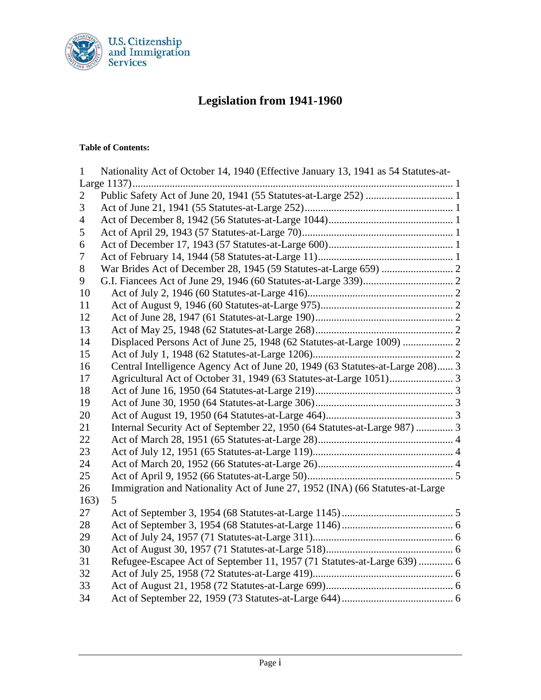

# **Legislation from 1941-1960**

# **Table of Contents:**

| 1              | Nationality Act of October 14, 1940 (Effective January 13, 1941 as 54 Statutes-at- |
|----------------|------------------------------------------------------------------------------------|
| Large 1137)    |                                                                                    |
| 2              |                                                                                    |
| 3              |                                                                                    |
| $\overline{4}$ |                                                                                    |
| 5              |                                                                                    |
| 6              |                                                                                    |
| 7              |                                                                                    |
| 8              |                                                                                    |
| 9              |                                                                                    |
| 10             |                                                                                    |
| 11             |                                                                                    |
| 12             |                                                                                    |
| 13             |                                                                                    |
| 14             |                                                                                    |
| 15             |                                                                                    |
| 16             | Central Intelligence Agency Act of June 20, 1949 (63 Statutes-at-Large 208) 3      |
| 17             |                                                                                    |
| 18             |                                                                                    |
| 19             |                                                                                    |
| 20             |                                                                                    |
| 21             | Internal Security Act of September 22, 1950 (64 Statutes-at-Large 987)  3          |
| 22             |                                                                                    |
| 23             |                                                                                    |
| 24             |                                                                                    |
| 25             |                                                                                    |
| 26             | Immigration and Nationality Act of June 27, 1952 (INA) (66 Statutes-at-Large       |
| 163)           | 5                                                                                  |
| 27             |                                                                                    |
| 28             |                                                                                    |
| 29             |                                                                                    |
| 30             |                                                                                    |
| 31             | Refugee-Escapee Act of September 11, 1957 (71 Statutes-at-Large 639)  6            |
| 32             |                                                                                    |
| 33             |                                                                                    |
| 34             |                                                                                    |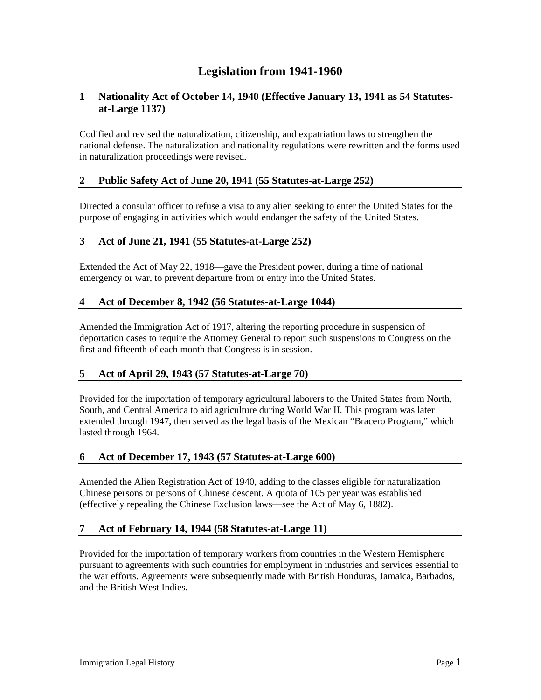# **Legislation from 1941-1960**

# <span id="page-1-0"></span>**1 Nationality Act of October 14, 1940 (Effective January 13, 1941 as 54 Statutesat-Large 1137)**

Codified and revised the naturalization, citizenship, and expatriation laws to strengthen the national defense. The naturalization and nationality regulations were rewritten and the forms used in naturalization proceedings were revised.

# **2 Public Safety Act of June 20, 1941 (55 Statutes-at-Large 252)**

Directed a consular officer to refuse a visa to any alien seeking to enter the United States for the purpose of engaging in activities which would endanger the safety of the United States.

# **3 Act of June 21, 1941 (55 Statutes-at-Large 252)**

Extended the Act of May 22, 1918—gave the President power, during a time of national emergency or war, to prevent departure from or entry into the United States.

## **4 Act of December 8, 1942 (56 Statutes-at-Large 1044)**

Amended the Immigration Act of 1917, altering the reporting procedure in suspension of deportation cases to require the Attorney General to report such suspensions to Congress on the first and fifteenth of each month that Congress is in session.

## **5 Act of April 29, 1943 (57 Statutes-at-Large 70)**

Provided for the importation of temporary agricultural laborers to the United States from North, South, and Central America to aid agriculture during World War II. This program was later extended through 1947, then served as the legal basis of the Mexican "Bracero Program," which lasted through 1964.

## **6 Act of December 17, 1943 (57 Statutes-at-Large 600)**

Amended the Alien Registration Act of 1940, adding to the classes eligible for naturalization Chinese persons or persons of Chinese descent. A quota of 105 per year was established (effectively repealing the Chinese Exclusion laws—see the Act of May 6, 1882).

## **7 Act of February 14, 1944 (58 Statutes-at-Large 11)**

Provided for the importation of temporary workers from countries in the Western Hemisphere pursuant to agreements with such countries for employment in industries and services essential to the war efforts. Agreements were subsequently made with British Honduras, Jamaica, Barbados, and the British West Indies.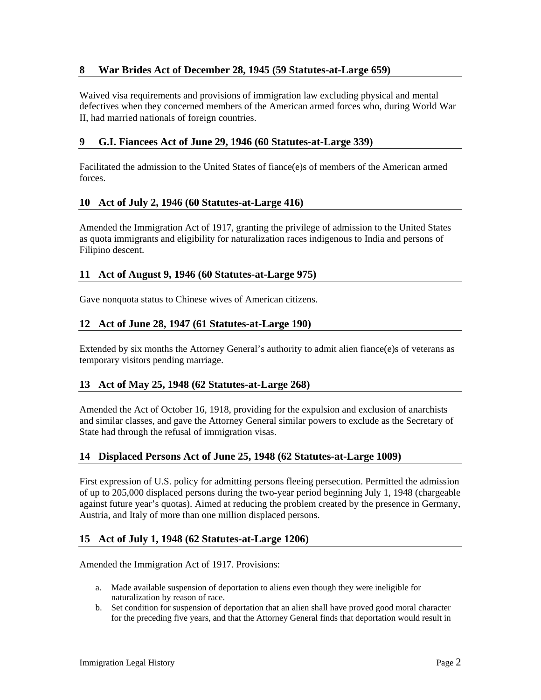# <span id="page-2-0"></span>**8 War Brides Act of December 28, 1945 (59 Statutes-at-Large 659)**

Waived visa requirements and provisions of immigration law excluding physical and mental defectives when they concerned members of the American armed forces who, during World War II, had married nationals of foreign countries.

#### **9 G.I. Fiancees Act of June 29, 1946 (60 Statutes-at-Large 339)**

Facilitated the admission to the United States of fiance(e)s of members of the American armed forces.

#### **10 Act of July 2, 1946 (60 Statutes-at-Large 416)**

Amended the Immigration Act of 1917, granting the privilege of admission to the United States as quota immigrants and eligibility for naturalization races indigenous to India and persons of Filipino descent.

#### **11 Act of August 9, 1946 (60 Statutes-at-Large 975)**

Gave nonquota status to Chinese wives of American citizens.

#### **12 Act of June 28, 1947 (61 Statutes-at-Large 190)**

Extended by six months the Attorney General's authority to admit alien fiance(e)s of veterans as temporary visitors pending marriage.

#### **13 Act of May 25, 1948 (62 Statutes-at-Large 268)**

Amended the Act of October 16, 1918, providing for the expulsion and exclusion of anarchists and similar classes, and gave the Attorney General similar powers to exclude as the Secretary of State had through the refusal of immigration visas.

#### **14 Displaced Persons Act of June 25, 1948 (62 Statutes-at-Large 1009)**

First expression of U.S. policy for admitting persons fleeing persecution. Permitted the admission of up to 205,000 displaced persons during the two-year period beginning July 1, 1948 (chargeable against future year's quotas). Aimed at reducing the problem created by the presence in Germany, Austria, and Italy of more than one million displaced persons.

#### **15 Act of July 1, 1948 (62 Statutes-at-Large 1206)**

Amended the Immigration Act of 1917. Provisions:

- a. Made available suspension of deportation to aliens even though they were ineligible for naturalization by reason of race.
- b. Set condition for suspension of deportation that an alien shall have proved good moral character for the preceding five years, and that the Attorney General finds that deportation would result in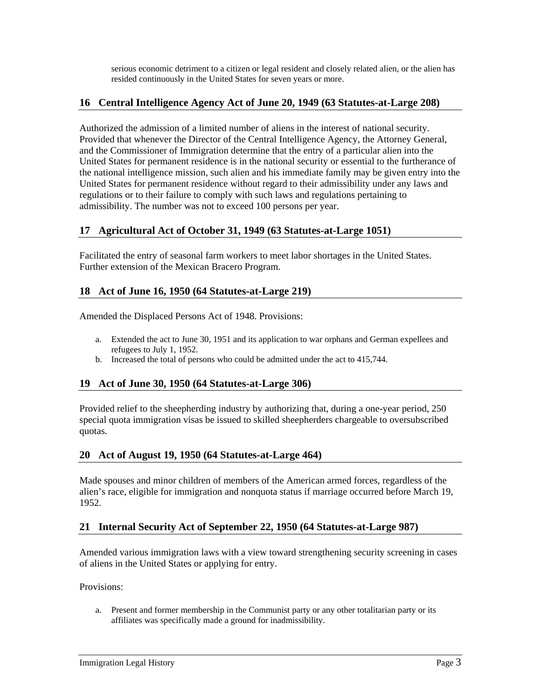serious economic detriment to a citizen or legal resident and closely related alien, or the alien has resided continuously in the United States for seven years or more.

# <span id="page-3-0"></span>**16 Central Intelligence Agency Act of June 20, 1949 (63 Statutes-at-Large 208)**

Authorized the admission of a limited number of aliens in the interest of national security. Provided that whenever the Director of the Central Intelligence Agency, the Attorney General, and the Commissioner of Immigration determine that the entry of a particular alien into the United States for permanent residence is in the national security or essential to the furtherance of the national intelligence mission, such alien and his immediate family may be given entry into the United States for permanent residence without regard to their admissibility under any laws and regulations or to their failure to comply with such laws and regulations pertaining to admissibility. The number was not to exceed 100 persons per year.

# **17 Agricultural Act of October 31, 1949 (63 Statutes-at-Large 1051)**

Facilitated the entry of seasonal farm workers to meet labor shortages in the United States. Further extension of the Mexican Bracero Program.

# **18 Act of June 16, 1950 (64 Statutes-at-Large 219)**

Amended the Displaced Persons Act of 1948. Provisions:

- a. Extended the act to June 30, 1951 and its application to war orphans and German expellees and refugees to July 1, 1952.
- b. Increased the total of persons who could be admitted under the act to 415,744.

# **19 Act of June 30, 1950 (64 Statutes-at-Large 306)**

Provided relief to the sheepherding industry by authorizing that, during a one-year period, 250 special quota immigration visas be issued to skilled sheepherders chargeable to oversubscribed quotas.

## **20 Act of August 19, 1950 (64 Statutes-at-Large 464)**

Made spouses and minor children of members of the American armed forces, regardless of the alien's race, eligible for immigration and nonquota status if marriage occurred before March 19, 1952.

## **21 Internal Security Act of September 22, 1950 (64 Statutes-at-Large 987)**

Amended various immigration laws with a view toward strengthening security screening in cases of aliens in the United States or applying for entry.

Provisions:

a. Present and former membership in the Communist party or any other totalitarian party or its affiliates was specifically made a ground for inadmissibility.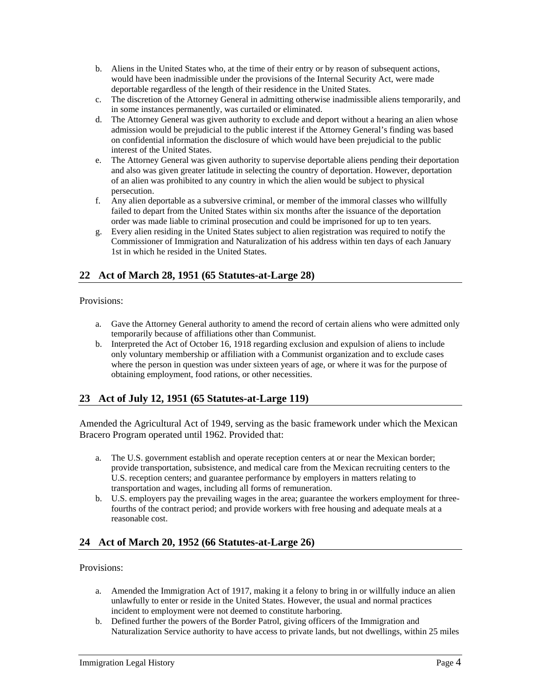- <span id="page-4-0"></span>b. Aliens in the United States who, at the time of their entry or by reason of subsequent actions, would have been inadmissible under the provisions of the Internal Security Act, were made deportable regardless of the length of their residence in the United States.
- c. The discretion of the Attorney General in admitting otherwise inadmissible aliens temporarily, and in some instances permanently, was curtailed or eliminated.
- d. The Attorney General was given authority to exclude and deport without a hearing an alien whose admission would be prejudicial to the public interest if the Attorney General's finding was based on confidential information the disclosure of which would have been prejudicial to the public interest of the United States.
- e. The Attorney General was given authority to supervise deportable aliens pending their deportation and also was given greater latitude in selecting the country of deportation. However, deportation of an alien was prohibited to any country in which the alien would be subject to physical persecution.
- f. Any alien deportable as a subversive criminal, or member of the immoral classes who willfully failed to depart from the United States within six months after the issuance of the deportation order was made liable to criminal prosecution and could be imprisoned for up to ten years.
- g. Every alien residing in the United States subject to alien registration was required to notify the Commissioner of Immigration and Naturalization of his address within ten days of each January 1st in which he resided in the United States.

# **22 Act of March 28, 1951 (65 Statutes-at-Large 28)**

#### Provisions:

- a. Gave the Attorney General authority to amend the record of certain aliens who were admitted only temporarily because of affiliations other than Communist.
- b. Interpreted the Act of October 16, 1918 regarding exclusion and expulsion of aliens to include only voluntary membership or affiliation with a Communist organization and to exclude cases where the person in question was under sixteen years of age, or where it was for the purpose of obtaining employment, food rations, or other necessities.

# **23 Act of July 12, 1951 (65 Statutes-at-Large 119)**

Amended the Agricultural Act of 1949, serving as the basic framework under which the Mexican Bracero Program operated until 1962. Provided that:

- a. The U.S. government establish and operate reception centers at or near the Mexican border; provide transportation, subsistence, and medical care from the Mexican recruiting centers to the U.S. reception centers; and guarantee performance by employers in matters relating to transportation and wages, including all forms of remuneration.
- b. U.S. employers pay the prevailing wages in the area; guarantee the workers employment for threefourths of the contract period; and provide workers with free housing and adequate meals at a reasonable cost.

# **24 Act of March 20, 1952 (66 Statutes-at-Large 26)**

#### Provisions:

- a. Amended the Immigration Act of 1917, making it a felony to bring in or willfully induce an alien unlawfully to enter or reside in the United States. However, the usual and normal practices incident to employment were not deemed to constitute harboring.
- b. Defined further the powers of the Border Patrol, giving officers of the Immigration and Naturalization Service authority to have access to private lands, but not dwellings, within 25 miles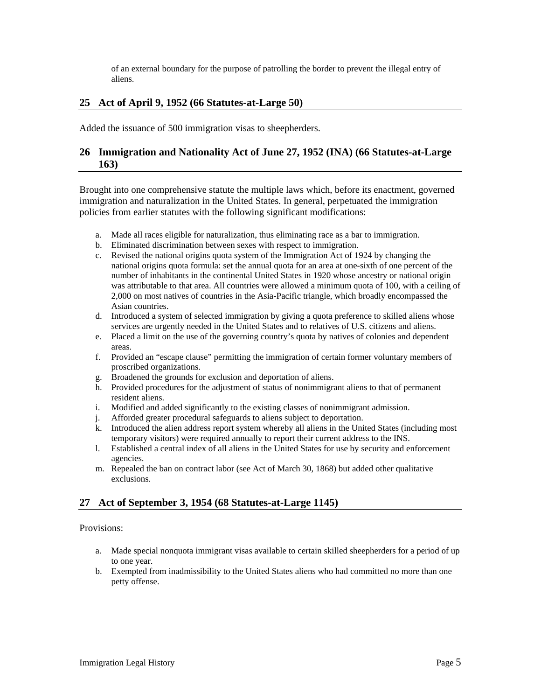of an external boundary for the purpose of patrolling the border to prevent the illegal entry of aliens.

# <span id="page-5-0"></span>**25 Act of April 9, 1952 (66 Statutes-at-Large 50)**

Added the issuance of 500 immigration visas to sheepherders.

## **26 Immigration and Nationality Act of June 27, 1952 (INA) (66 Statutes-at-Large 163)**

Brought into one comprehensive statute the multiple laws which, before its enactment, governed immigration and naturalization in the United States. In general, perpetuated the immigration policies from earlier statutes with the following significant modifications:

- a. Made all races eligible for naturalization, thus eliminating race as a bar to immigration.
- b. Eliminated discrimination between sexes with respect to immigration.
- c. Revised the national origins quota system of the Immigration Act of 1924 by changing the national origins quota formula: set the annual quota for an area at one-sixth of one percent of the number of inhabitants in the continental United States in 1920 whose ancestry or national origin was attributable to that area. All countries were allowed a minimum quota of 100, with a ceiling of 2,000 on most natives of countries in the Asia-Pacific triangle, which broadly encompassed the Asian countries.
- d. Introduced a system of selected immigration by giving a quota preference to skilled aliens whose services are urgently needed in the United States and to relatives of U.S. citizens and aliens.
- e. Placed a limit on the use of the governing country's quota by natives of colonies and dependent areas.
- f. Provided an "escape clause" permitting the immigration of certain former voluntary members of proscribed organizations.
- g. Broadened the grounds for exclusion and deportation of aliens.
- h. Provided procedures for the adjustment of status of nonimmigrant aliens to that of permanent resident aliens.
- i. Modified and added significantly to the existing classes of nonimmigrant admission.
- j. Afforded greater procedural safeguards to aliens subject to deportation.
- k. Introduced the alien address report system whereby all aliens in the United States (including most temporary visitors) were required annually to report their current address to the INS.
- l. Established a central index of all aliens in the United States for use by security and enforcement agencies.
- m. Repealed the ban on contract labor (see Act of March 30, 1868) but added other qualitative exclusions.

# **27 Act of September 3, 1954 (68 Statutes-at-Large 1145)**

Provisions:

- a. Made special nonquota immigrant visas available to certain skilled sheepherders for a period of up to one year.
- b. Exempted from inadmissibility to the United States aliens who had committed no more than one petty offense.